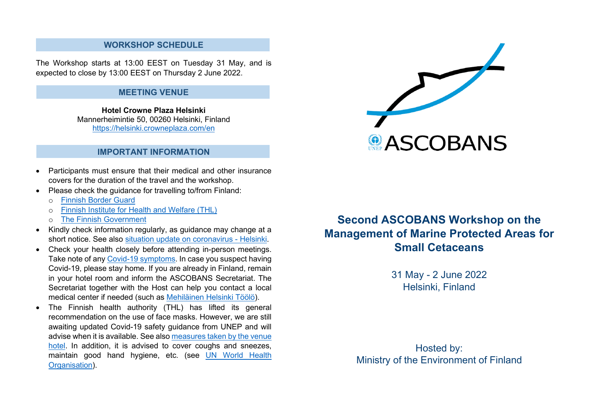## **WORKSHOP SCHEDULE**

The Workshop starts at 13:00 EEST on Tuesday 31 May, and is expected to close by 13:00 EEST on Thursday 2 June 2022.

#### **MEETING VENUE**

**Hotel Crowne Plaza Helsinki** Mannerheimintie 50, 00260 Helsinki, Finland <https://helsinki.crowneplaza.com/en>

### **IMPORTANT INFORMATION**

- Participants must ensure that their medical and other insurance covers for the duration of the travel and the workshop.
- Please check the guidance for travelling to/from Finland:
	- o [Finnish Border Guard](https://raja.fi/en/guidelines-for-border-traffic-during-pandemic)
	- o [Finnish Institute for Health and Welfare \(THL\)](https://thl.fi/en/web/infectious-diseases-and-vaccinations/what-s-new/coronavirus-covid-19-latest-updates/travel-and-the-coronavirus-pandemic)
	- o [The Finnish Government](https://valtioneuvosto.fi/en/information-on-coronavirus/current-restrictions/travel-to-and-from-finland)
- Kindly check information regularly, as guidance may change at a short notice. See also [situation update on coronavirus -](https://www.hel.fi/helsinki/coronavirus-en/social-and-health/corona-situation/) Helsinki.
- Check your health closely before attending in-person meetings. Take note of any [Covid-19 symptoms.](https://www.who.int/images/default-source/searo---images/countries/indonesia/infographics/covid19_symptoms.jpg?sfvrsn=b599a602_5) In case you suspect having Covid-19, please stay home. If you are already in Finland, remain in your hotel room and inform the ASCOBANS Secretariat. The Secretariat together with the Host can help you contact a local medical center if needed (such as [Mehiläinen Helsinki Töölö\)](https://www.mehilainen.fi/en/locations/mehilainen-helsinki-toolo).
- The Finnish health authority (THL) has lifted its general recommendation on the use of face masks. However, we are still awaiting updated Covid-19 safety guidance from UNEP and will advise when it is available. See als[o measures taken by the venue](https://helsinki.crowneplaza.com/en/hotel/safe-hotel-visit)  [hotel.](https://helsinki.crowneplaza.com/en/hotel/safe-hotel-visit) In addition, it is advised to cover coughs and sneezes, maintain good hand hygiene, etc. (see [UN World Health](https://www.who.int/westernpacific/emergencies/covid-19/information)  [Organisation\)](https://www.who.int/westernpacific/emergencies/covid-19/information).



# **Second ASCOBANS Workshop on the Management of Marine Protected Areas for Small Cetaceans**

31 May - 2 June 2022 Helsinki, Finland

Hosted by: Ministry of the Environment of Finland